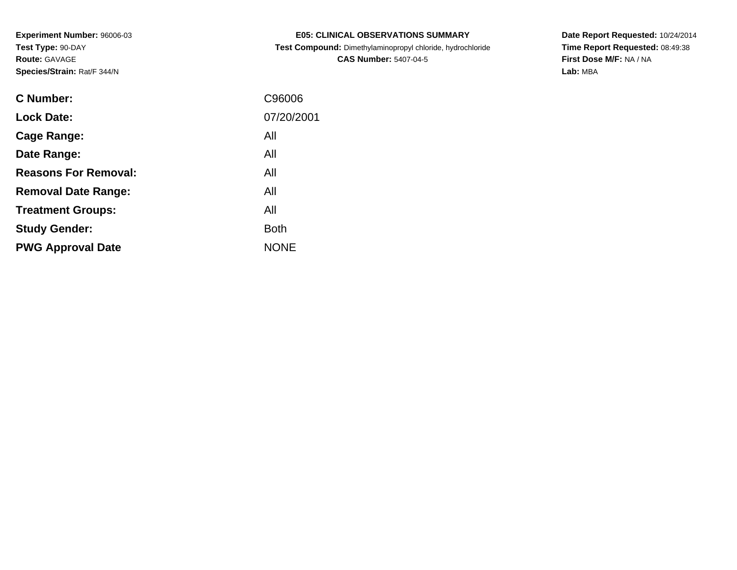| <b>E05: CLINICAL OBSERVATIONS SUMMARY</b>                  |
|------------------------------------------------------------|
| Test Compound: Dimethylaminopropyl chloride, hydrochloride |

**CAS Number:** 5407-04-5

**Date Report Requested:** 10/24/2014 **Time Report Requested:** 08:49:38**First Dose M/F:** NA / NA**Lab:** MBA

| C Number:                   | C96006      |
|-----------------------------|-------------|
| <b>Lock Date:</b>           | 07/20/2001  |
| Cage Range:                 | All         |
| Date Range:                 | All         |
| <b>Reasons For Removal:</b> | All         |
| <b>Removal Date Range:</b>  | All         |
| <b>Treatment Groups:</b>    | All         |
| <b>Study Gender:</b>        | <b>Both</b> |
| <b>PWG Approval Date</b>    | <b>NONE</b> |
|                             |             |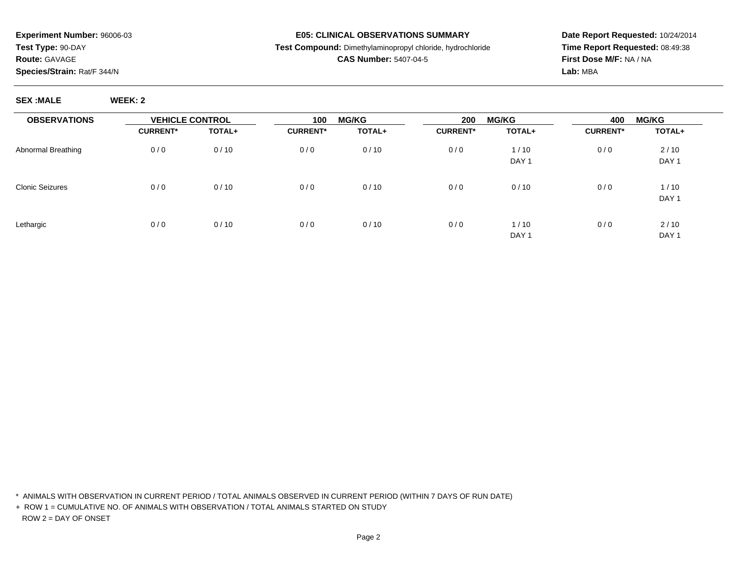**SEX :MALE WEEK: 2**

#### **E05: CLINICAL OBSERVATIONS SUMMARY**

## **Test Compound:** Dimethylaminopropyl chloride, hydrochloride

## **CAS Number:** 5407-04-5

**Date Report Requested:** 10/24/2014**Time Report Requested:** 08:49:38**First Dose M/F:** NA / NA**Lab:** MBA

| <b>OBSERVATIONS</b>    | <b>VEHICLE CONTROL</b> |        | 100             | <b>MG/KG</b> |                 | <b>MG/KG</b><br>200 |                 | <b>MG/KG</b><br>400 |  |
|------------------------|------------------------|--------|-----------------|--------------|-----------------|---------------------|-----------------|---------------------|--|
|                        | <b>CURRENT*</b>        | TOTAL+ | <b>CURRENT*</b> | TOTAL+       | <b>CURRENT*</b> | TOTAL+              | <b>CURRENT*</b> | TOTAL+              |  |
| Abnormal Breathing     | 0/0                    | 0/10   | 0/0             | 0/10         | 0/0             | 1/10                | 0/0             | 2/10                |  |
|                        |                        |        |                 |              |                 | DAY <sub>1</sub>    |                 | DAY <sub>1</sub>    |  |
| <b>Clonic Seizures</b> | 0/0                    | 0/10   | 0/0             | 0/10         | 0/0             | 0/10                | 0/0             | 1/10                |  |
|                        |                        |        |                 |              |                 |                     |                 | DAY <sub>1</sub>    |  |
| Lethargic              | 0/0                    | 0/10   | 0/0             | 0/10         | 0/0             | 1/10                | 0/0             | 2/10                |  |
|                        |                        |        |                 |              |                 | DAY <sub>1</sub>    |                 | DAY <sub>1</sub>    |  |

\* ANIMALS WITH OBSERVATION IN CURRENT PERIOD / TOTAL ANIMALS OBSERVED IN CURRENT PERIOD (WITHIN 7 DAYS OF RUN DATE)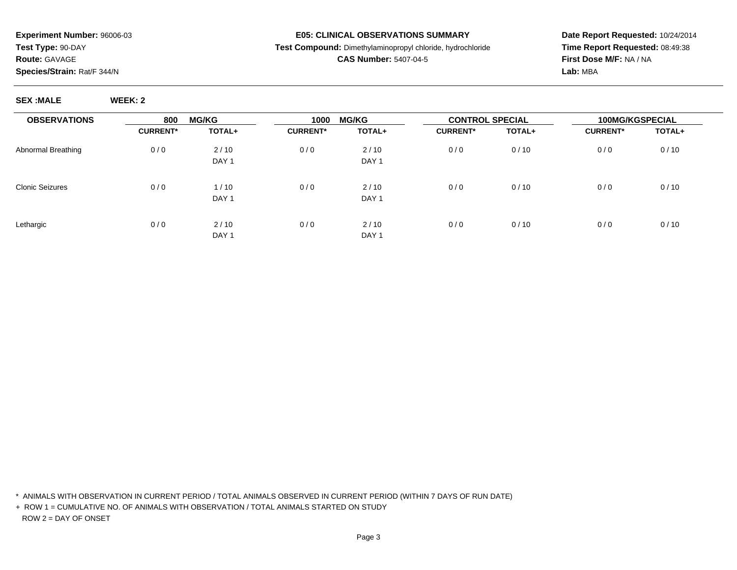#### **E05: CLINICAL OBSERVATIONS SUMMARY**

**Test Compound:** Dimethylaminopropyl chloride, hydrochloride

## **CAS Number:** 5407-04-5

**Date Report Requested:** 10/24/2014**Time Report Requested:** 08:49:38**First Dose M/F:** NA / NA**Lab:** MBA

**SEX :MALE WEEK: 2**

| <b>OBSERVATIONS</b>    | <b>MG/KG</b><br>800 |                  | 1000            | <b>MG/KG</b>     |                 | <b>CONTROL SPECIAL</b> |                 | <b>100MG/KGSPECIAL</b> |
|------------------------|---------------------|------------------|-----------------|------------------|-----------------|------------------------|-----------------|------------------------|
|                        | <b>CURRENT*</b>     | TOTAL+           | <b>CURRENT*</b> | TOTAL+           | <b>CURRENT*</b> | TOTAL+                 | <b>CURRENT*</b> | TOTAL+                 |
| Abnormal Breathing     | 0/0                 | 2/10             | 0/0             | 2/10             | 0/0             | 0/10                   | 0/0             | 0/10                   |
|                        |                     | DAY <sub>1</sub> |                 | DAY <sub>1</sub> |                 |                        |                 |                        |
| <b>Clonic Seizures</b> | 0/0                 | 1/10             | 0/0             | 2/10             | 0/0             | 0/10                   | 0/0             | 0/10                   |
|                        |                     | DAY <sub>1</sub> |                 | DAY <sub>1</sub> |                 |                        |                 |                        |
| Lethargic              | 0/0                 | 2/10             | 0/0             | 2/10             | 0/0             | 0/10                   | 0/0             | 0/10                   |
|                        |                     | DAY <sub>1</sub> |                 | DAY <sub>1</sub> |                 |                        |                 |                        |

\* ANIMALS WITH OBSERVATION IN CURRENT PERIOD / TOTAL ANIMALS OBSERVED IN CURRENT PERIOD (WITHIN 7 DAYS OF RUN DATE)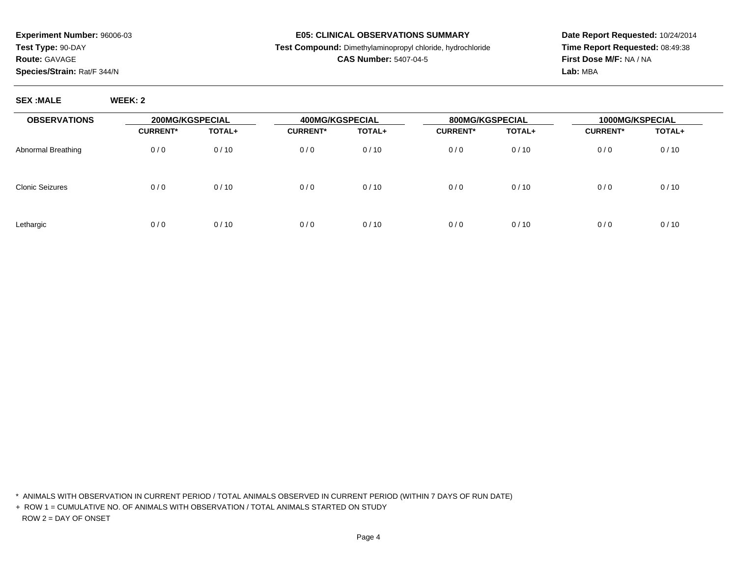### **E05: CLINICAL OBSERVATIONS SUMMARY**

**Test Compound:** Dimethylaminopropyl chloride, hydrochloride

## **CAS Number:** 5407-04-5

**Date Report Requested:** 10/24/2014**Time Report Requested:** 08:49:38**First Dose M/F:** NA / NA**Lab:** MBA

**SEX :MALE WEEK: 2**

| <b>OBSERVATIONS</b>    | 200MG/KGSPECIAL |        | 400MG/KGSPECIAL |        | 800MG/KGSPECIAL |        | 1000MG/KSPECIAL |        |
|------------------------|-----------------|--------|-----------------|--------|-----------------|--------|-----------------|--------|
|                        | <b>CURRENT*</b> | TOTAL+ | <b>CURRENT*</b> | TOTAL+ | <b>CURRENT*</b> | TOTAL+ | <b>CURRENT*</b> | TOTAL+ |
| Abnormal Breathing     | 0/0             | 0/10   | 0/0             | 0/10   | 0/0             | 0/10   | 0/0             | 0/10   |
| <b>Clonic Seizures</b> | 0/0             | 0/10   | 0/0             | 0/10   | 0/0             | 0/10   | 0/0             | 0/10   |
| Lethargic              | 0/0             | 0/10   | 0/0             | 0/10   | 0/0             | 0/10   | 0/0             | 0/10   |

\* ANIMALS WITH OBSERVATION IN CURRENT PERIOD / TOTAL ANIMALS OBSERVED IN CURRENT PERIOD (WITHIN 7 DAYS OF RUN DATE)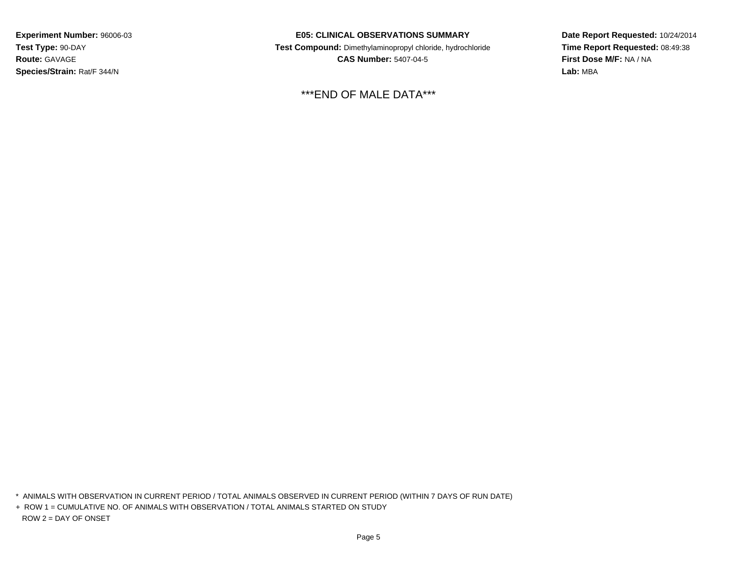### **E05: CLINICAL OBSERVATIONS SUMMARY**

 **Test Compound:** Dimethylaminopropyl chloride, hydrochloride**CAS Number:** 5407-04-5

\*\*\*END OF MALE DATA\*\*\*

**Date Report Requested:** 10/24/2014**Time Report Requested:** 08:49:38**First Dose M/F:** NA / NA**Lab:** MBA

\* ANIMALS WITH OBSERVATION IN CURRENT PERIOD / TOTAL ANIMALS OBSERVED IN CURRENT PERIOD (WITHIN 7 DAYS OF RUN DATE)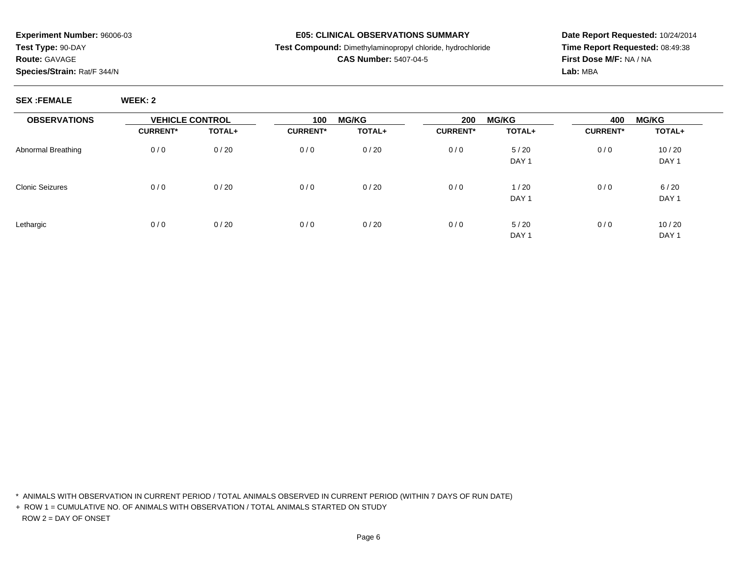#### **E05: CLINICAL OBSERVATIONS SUMMARY**

## **Test Compound:** Dimethylaminopropyl chloride, hydrochloride

## **CAS Number:** 5407-04-5

**Date Report Requested:** 10/24/2014**Time Report Requested:** 08:49:38**First Dose M/F:** NA / NA**Lab:** MBA

| <b>OBSERVATIONS</b>    | <b>VEHICLE CONTROL</b> |        | 100             | <b>MG/KG</b> |                 | <b>MG/KG</b><br>200 |                 | <b>MG/KG</b>     |
|------------------------|------------------------|--------|-----------------|--------------|-----------------|---------------------|-----------------|------------------|
|                        | <b>CURRENT*</b>        | TOTAL+ | <b>CURRENT*</b> | TOTAL+       | <b>CURRENT*</b> | TOTAL+              | <b>CURRENT*</b> | TOTAL+           |
| Abnormal Breathing     | 0/0                    | 0/20   | 0/0             | 0/20         | 0/0             | 5/20                | 0/0             | 10/20            |
|                        |                        |        |                 |              |                 | DAY <sub>1</sub>    |                 | DAY <sub>1</sub> |
| <b>Clonic Seizures</b> | 0/0                    | 0/20   | 0/0             | 0/20         | 0/0             | 1/20                | 0/0             | 6/20             |
|                        |                        |        |                 |              |                 | DAY <sub>1</sub>    |                 | DAY <sub>1</sub> |
| Lethargic              | 0/0                    | 0/20   | 0/0             | 0/20         | 0/0             | 5/20                | 0/0             | 10/20            |
|                        |                        |        |                 |              |                 | DAY <sub>1</sub>    |                 | DAY <sub>1</sub> |

\* ANIMALS WITH OBSERVATION IN CURRENT PERIOD / TOTAL ANIMALS OBSERVED IN CURRENT PERIOD (WITHIN 7 DAYS OF RUN DATE)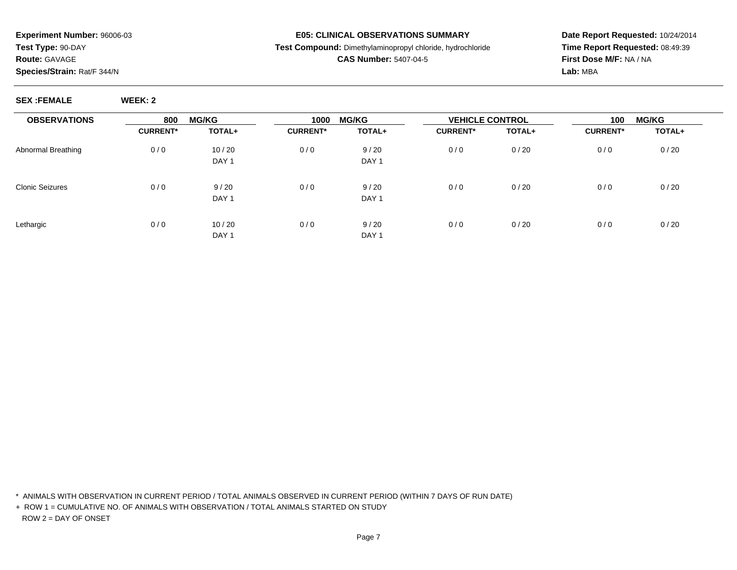#### **E05: CLINICAL OBSERVATIONS SUMMARY**

## **Test Compound:** Dimethylaminopropyl chloride, hydrochloride

## **CAS Number:** 5407-04-5

**Date Report Requested:** 10/24/2014**Time Report Requested:** 08:49:39**First Dose M/F:** NA / NA**Lab:** MBA

**SEX :FEMALE WEEK: 2**

| <b>OBSERVATIONS</b> | 800             | <b>MG/KG</b>              | 1000            | <b>MG/KG</b>             | <b>VEHICLE CONTROL</b> |        | 100             | <b>MG/KG</b> |  |
|---------------------|-----------------|---------------------------|-----------------|--------------------------|------------------------|--------|-----------------|--------------|--|
|                     | <b>CURRENT*</b> | TOTAL+                    | <b>CURRENT*</b> | TOTAL+                   | <b>CURRENT*</b>        | TOTAL+ | <b>CURRENT*</b> | TOTAL+       |  |
| Abnormal Breathing  | 0/0             | 10/20<br>DAY <sub>1</sub> | 0/0             | 9/20<br>DAY <sub>1</sub> | 0/0                    | 0/20   | 0/0             | 0/20         |  |
| Clonic Seizures     | 0/0             | 9/20<br>DAY <sub>1</sub>  | 0/0             | 9/20<br>DAY <sub>1</sub> | 0/0                    | 0/20   | 0/0             | 0/20         |  |
| Lethargic           | 0/0             | 10/20<br>DAY <sub>1</sub> | 0/0             | 9/20<br>DAY <sub>1</sub> | 0/0                    | 0/20   | 0/0             | 0/20         |  |

\* ANIMALS WITH OBSERVATION IN CURRENT PERIOD / TOTAL ANIMALS OBSERVED IN CURRENT PERIOD (WITHIN 7 DAYS OF RUN DATE)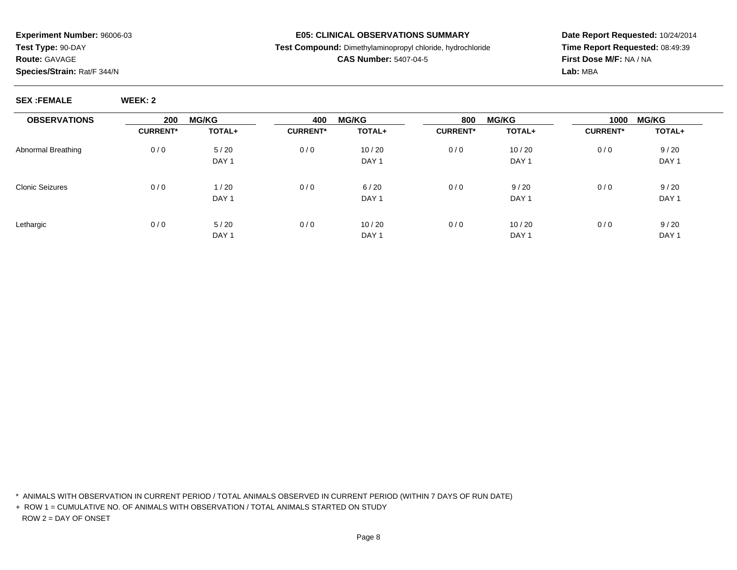#### **E05: CLINICAL OBSERVATIONS SUMMARY**

**Test Compound:** Dimethylaminopropyl chloride, hydrochloride

## **CAS Number:** 5407-04-5

**Date Report Requested:** 10/24/2014**Time Report Requested:** 08:49:39**First Dose M/F:** NA / NA**Lab:** MBA

**SEX :FEMALE WEEK: 2**

| <b>OBSERVATIONS</b> | 200             | <b>MG/KG</b>     | 400             | <b>MG/KG</b>     | 800             | <b>MG/KG</b>     | 1000            | <b>MG/KG</b>     |
|---------------------|-----------------|------------------|-----------------|------------------|-----------------|------------------|-----------------|------------------|
|                     | <b>CURRENT*</b> | TOTAL+           | <b>CURRENT*</b> | TOTAL+           | <b>CURRENT*</b> | TOTAL+           | <b>CURRENT*</b> | TOTAL+           |
| Abnormal Breathing  | 0/0             | 5/20             | 0/0             | 10/20            | 0/0             | 10/20            | 0/0             | 9/20             |
|                     |                 | DAY <sub>1</sub> |                 | DAY 1            |                 | DAY <sub>1</sub> |                 | DAY <sub>1</sub> |
| Clonic Seizures     | 0/0             | 1/20             | 0/0             | 6/20             | 0/0             | 9/20             | 0/0             | 9/20             |
|                     |                 | DAY <sub>1</sub> |                 | DAY <sub>1</sub> |                 | DAY <sub>1</sub> |                 | DAY <sub>1</sub> |
| Lethargic           | 0/0             | 5/20             | 0/0             | 10/20            | 0/0             | 10/20            | 0/0             | 9/20             |
|                     |                 | DAY <sub>1</sub> |                 | DAY <sub>1</sub> |                 | DAY <sub>1</sub> |                 | DAY <sub>1</sub> |

\* ANIMALS WITH OBSERVATION IN CURRENT PERIOD / TOTAL ANIMALS OBSERVED IN CURRENT PERIOD (WITHIN 7 DAYS OF RUN DATE)